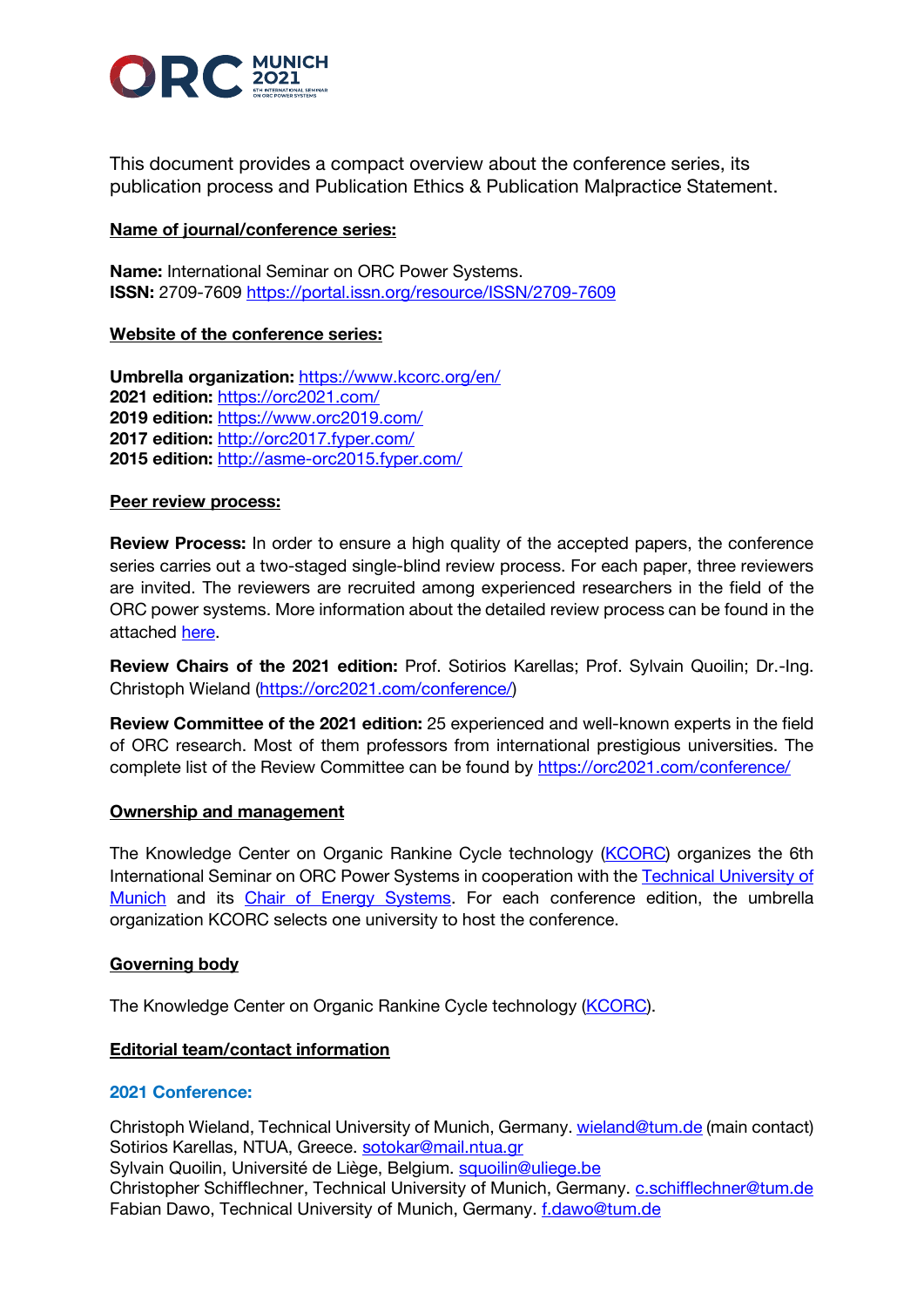

This document provides a compact overview about the conference series, its publication process and Publication Ethics & Publication Malpractice Statement.

# **Name of journal/conference series:**

**Name:** International Seminar on ORC Power Systems. **ISSN:** 2709-7609<https://portal.issn.org/resource/ISSN/2709-7609>

# **Website of the conference series:**

**Umbrella organization:** <https://www.kcorc.org/en/> **2021 edition:** <https://orc2021.com/> **2019 edition:** <https://www.orc2019.com/> **2017 edition:** <http://orc2017.fyper.com/> **2015 edition:** <http://asme-orc2015.fyper.com/>

## **Peer review process:**

**Review Process:** In order to ensure a high quality of the accepted papers, the conference series carries out a two-staged single-blind review process. For each paper, three reviewers are invited. The reviewers are recruited among experienced researchers in the field of the ORC power systems. More information about the detailed review process can be found in the attached [here.](https://www.orc2021.com/wp-content/uploads/2022/04/ORC_2021_Guidelines_Review-process.pdf)

**Review Chairs of the 2021 edition:** Prof. Sotirios Karellas; Prof. Sylvain Quoilin; Dr.-Ing. Christoph Wieland [\(https://orc2021.com/conference/\)](https://urldefense.proofpoint.com/v2/url?u=https-3A__orc2021.com_conference_&d=DwMFAw&c=OGmtg_3SI10Cogwk-ShFiw&r=T4yMH46dLFs-eKEQ-lj546wEBpayJVY1kxuBQcXbslAjTdzHj9gjs-oIkhPJTMT4&m=Efr-IrzwB5_jvmFS8JEcqIHN8OH4EhMs8sLtixOGNo8&s=E8mByLGWp5PGhh1V6nO9wGyHxRowCRTjO6Pwnzy3Xg8&e=)

**Review Committee of the 2021 edition:** 25 experienced and well-known experts in the field of ORC research. Most of them professors from international prestigious universities. The complete list of the Review Committee can be found by [https://orc2021.com/conference/](https://urldefense.proofpoint.com/v2/url?u=https-3A__orc2021.com_conference_&d=DwMFAw&c=OGmtg_3SI10Cogwk-ShFiw&r=T4yMH46dLFs-eKEQ-lj546wEBpayJVY1kxuBQcXbslAjTdzHj9gjs-oIkhPJTMT4&m=Efr-IrzwB5_jvmFS8JEcqIHN8OH4EhMs8sLtixOGNo8&s=E8mByLGWp5PGhh1V6nO9wGyHxRowCRTjO6Pwnzy3Xg8&e=)

## **Ownership and management**

The Knowledge Center on Organic Rankine Cycle technology (*KCORC*) organizes the 6th International Seminar on ORC Power Systems in cooperation with the Technical University of [Munich](https://urldefense.proofpoint.com/v2/url?u=https-3A__www.tum.de_en_&d=DwMFAw&c=OGmtg_3SI10Cogwk-ShFiw&r=T4yMH46dLFs-eKEQ-lj546wEBpayJVY1kxuBQcXbslAjTdzHj9gjs-oIkhPJTMT4&m=Efr-IrzwB5_jvmFS8JEcqIHN8OH4EhMs8sLtixOGNo8&s=svrYSB8d_IsBX7sFv30gfJfBex_7Ez18eT_7LShr0l4&e=) and its [Chair of Energy Systems.](https://urldefense.proofpoint.com/v2/url?u=https-3A__www.mw.tum.de_en_es_homepage_&d=DwMFAw&c=OGmtg_3SI10Cogwk-ShFiw&r=T4yMH46dLFs-eKEQ-lj546wEBpayJVY1kxuBQcXbslAjTdzHj9gjs-oIkhPJTMT4&m=Efr-IrzwB5_jvmFS8JEcqIHN8OH4EhMs8sLtixOGNo8&s=nfIw5nH7hwG980skffplPV2558tOWa3dsbQ17b_T7ko&e=) For each conference edition, the umbrella organization KCORC selects one university to host the conference.

# **Governing body**

The Knowledge Center on Organic Rankine Cycle technology (**KCORC**).

## **Editorial team/contact information**

## **2021 Conference:**

Christoph Wieland, Technical University of Munich, Germany. [wieland@tum.de](mailto:wieland@tum.de) (main contact) Sotirios Karellas, NTUA, Greece. [sotokar@mail.ntua.gr](mailto:sotokar@mail.ntua.gr) Sylvain Quoilin, Université de Liège, Belgium. [squoilin@uliege.be](mailto:squoilin@uliege.be) Christopher Schifflechner, Technical University of Munich, Germany. [c.schifflechner@tum.de](mailto:c.schifflechner@tum.de) Fabian Dawo, Technical University of Munich, Germany. *[f.dawo@tum.de](mailto:f.dawo@tum.de)*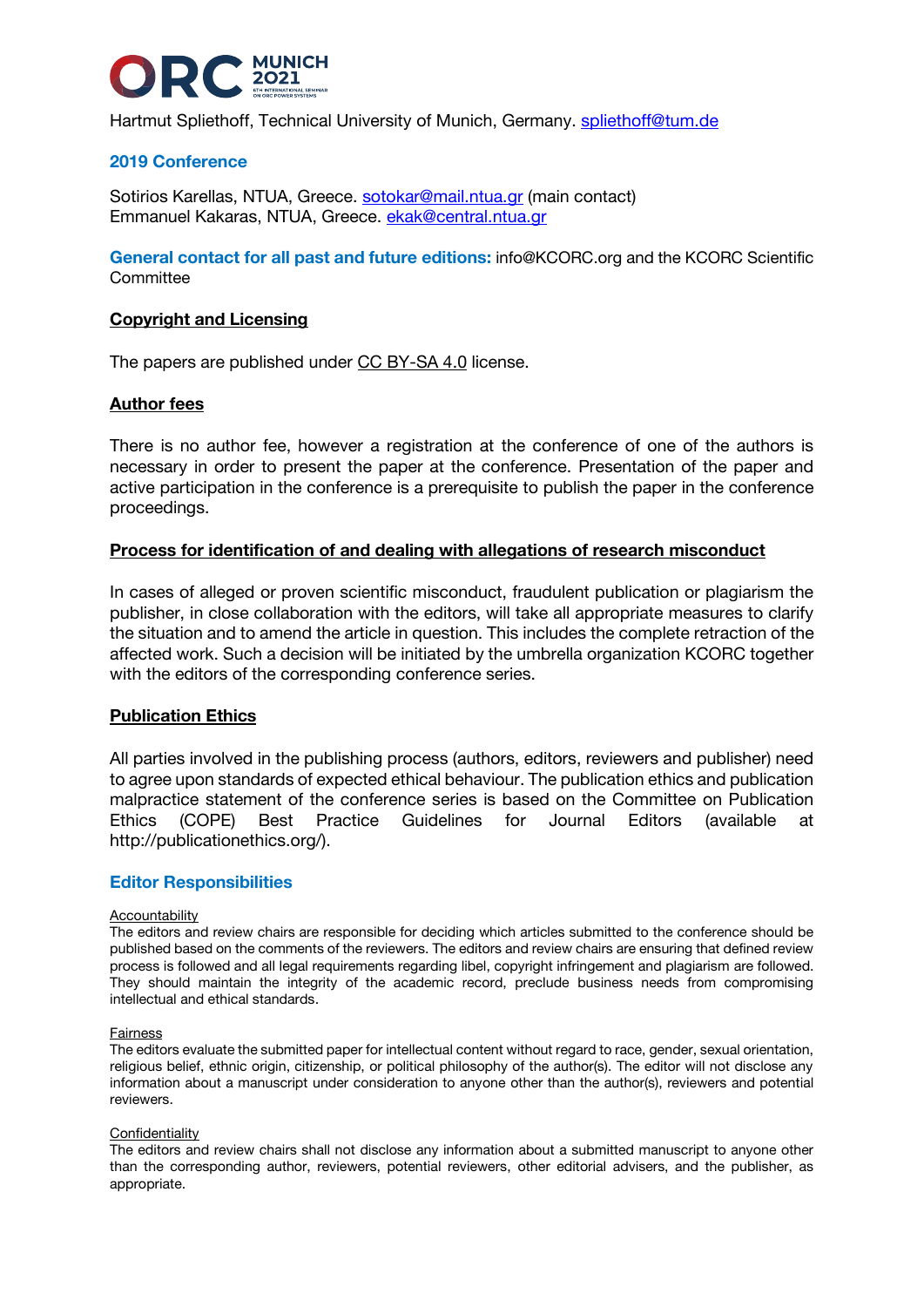

Hartmut Spliethoff, Technical University of Munich, Germany. [spliethoff@tum.de](mailto:spliethoff@tum.de)

# **2019 Conference**

Sotirios Karellas, NTUA, Greece. [sotokar@mail.ntua.gr](mailto:sotokar@mail.ntua.gr) (main contact) Emmanuel Kakaras, NTUA, Greece. [ekak@central.ntua.gr](mailto:ekak@central.ntua.gr)

**General contact for all past and future editions:** [info@KCORC.org](mailto:info@KCORC.org) and the KCORC Scientific **Committee** 

## **Copyright and Licensing**

The papers are published under [CC BY-SA 4.0](https://creativecommons.org/licenses/by-sa/4.0/) license.

## **Author fees**

There is no author fee, however a registration at the conference of one of the authors is necessary in order to present the paper at the conference. Presentation of the paper and active participation in the conference is a prerequisite to publish the paper in the conference proceedings.

### **Process for identification of and dealing with allegations of research misconduct**

In cases of alleged or proven scientific misconduct, fraudulent publication or plagiarism the publisher, in close collaboration with the editors, will take all appropriate measures to clarify the situation and to amend the article in question. This includes the complete retraction of the affected work. Such a decision will be initiated by the umbrella organization KCORC together with the editors of the corresponding conference series.

### **Publication Ethics**

All parties involved in the publishing process (authors, editors, reviewers and publisher) need to agree upon standards of expected ethical behaviour. The publication ethics and publication malpractice statement of the conference series is based on the Committee on Publication Ethics (COPE) Best Practice Guidelines for Journal Editors (available at http://publicationethics.org/).

### **Editor Responsibilities**

#### Accountability

The editors and review chairs are responsible for deciding which articles submitted to the conference should be published based on the comments of the reviewers. The editors and review chairs are ensuring that defined review process is followed and all legal requirements regarding libel, copyright infringement and plagiarism are followed. They should maintain the integrity of the academic record, preclude business needs from compromising intellectual and ethical standards.

#### Fairness

The editors evaluate the submitted paper for intellectual content without regard to race, gender, sexual orientation, religious belief, ethnic origin, citizenship, or political philosophy of the author(s). The editor will not disclose any information about a manuscript under consideration to anyone other than the author(s), reviewers and potential reviewers

### Confidentiality

The editors and review chairs shall not disclose any information about a submitted manuscript to anyone other than the corresponding author, reviewers, potential reviewers, other editorial advisers, and the publisher, as appropriate.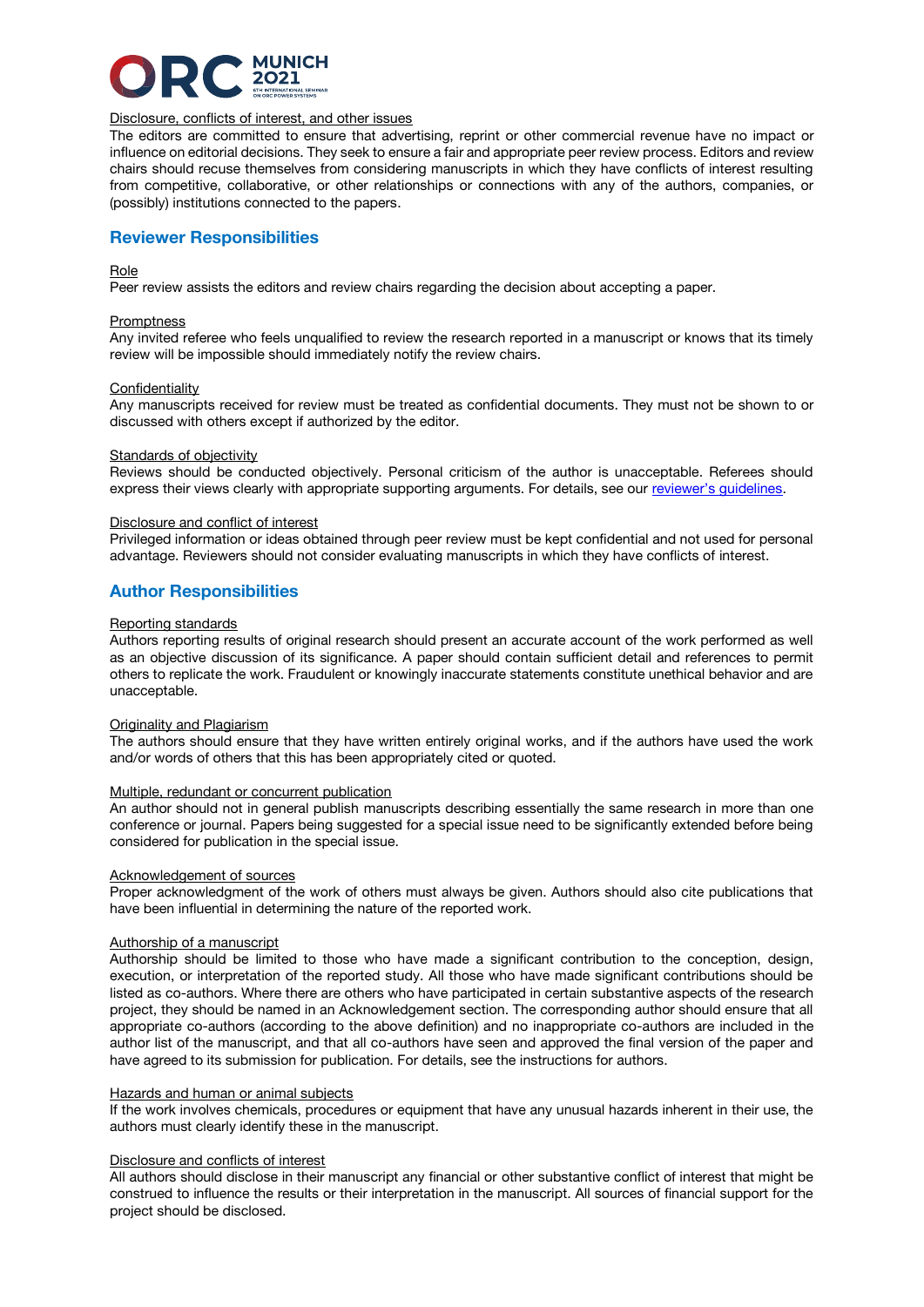

### Disclosure, conflicts of interest, and other issues

The editors are committed to ensure that advertising, reprint or other commercial revenue have no impact or influence on editorial decisions. They seek to ensure a fair and appropriate peer review process. Editors and review chairs should recuse themselves from considering manuscripts in which they have conflicts of interest resulting from competitive, collaborative, or other relationships or connections with any of the authors, companies, or (possibly) institutions connected to the papers.

### **Reviewer Responsibilities**

#### Role

Peer review assists the editors and review chairs regarding the decision about accepting a paper.

#### **Promptness**

Any invited referee who feels unqualified to review the research reported in a manuscript or knows that its timely review will be impossible should immediately notify the review chairs.

#### Confidentiality

Any manuscripts received for review must be treated as confidential documents. They must not be shown to or discussed with others except if authorized by the editor.

#### Standards of objectivity

Reviews should be conducted objectively. Personal criticism of the author is unacceptable. Referees should express their views clearly with appropriate supporting arguments. For details, see our [reviewer's guidelines](https://www.orc2021.com/wp-content/uploads/2022/04/ORC_2021_Guidelines_Review-process.pdf).

#### Disclosure and conflict of interest

Privileged information or ideas obtained through peer review must be kept confidential and not used for personal advantage. Reviewers should not consider evaluating manuscripts in which they have conflicts of interest.

## **Author Responsibilities**

#### Reporting standards

Authors reporting results of original research should present an accurate account of the work performed as well as an objective discussion of its significance. A paper should contain sufficient detail and references to permit others to replicate the work. Fraudulent or knowingly inaccurate statements constitute unethical behavior and are unacceptable.

### Originality and Plagiarism

The authors should ensure that they have written entirely original works, and if the authors have used the work and/or words of others that this has been appropriately cited or quoted.

#### Multiple, redundant or concurrent publication

An author should not in general publish manuscripts describing essentially the same research in more than one conference or journal. Papers being suggested for a special issue need to be significantly extended before being considered for publication in the special issue.

#### Acknowledgement of sources

Proper acknowledgment of the work of others must always be given. Authors should also cite publications that have been influential in determining the nature of the reported work.

### Authorship of a manuscript

Authorship should be limited to those who have made a significant contribution to the conception, design, execution, or interpretation of the reported study. All those who have made significant contributions should be listed as co-authors. Where there are others who have participated in certain substantive aspects of the research project, they should be named in an Acknowledgement section. The corresponding author should ensure that all appropriate co-authors (according to the above definition) and no inappropriate co-authors are included in the author list of the manuscript, and that all co-authors have seen and approved the final version of the paper and have agreed to its submission for publication. For details, see the instructions for authors.

#### Hazards and human or animal subjects

If the work involves chemicals, procedures or equipment that have any unusual hazards inherent in their use, the authors must clearly identify these in the manuscript.

#### Disclosure and conflicts of interest

All authors should disclose in their manuscript any financial or other substantive conflict of interest that might be construed to influence the results or their interpretation in the manuscript. All sources of financial support for the project should be disclosed.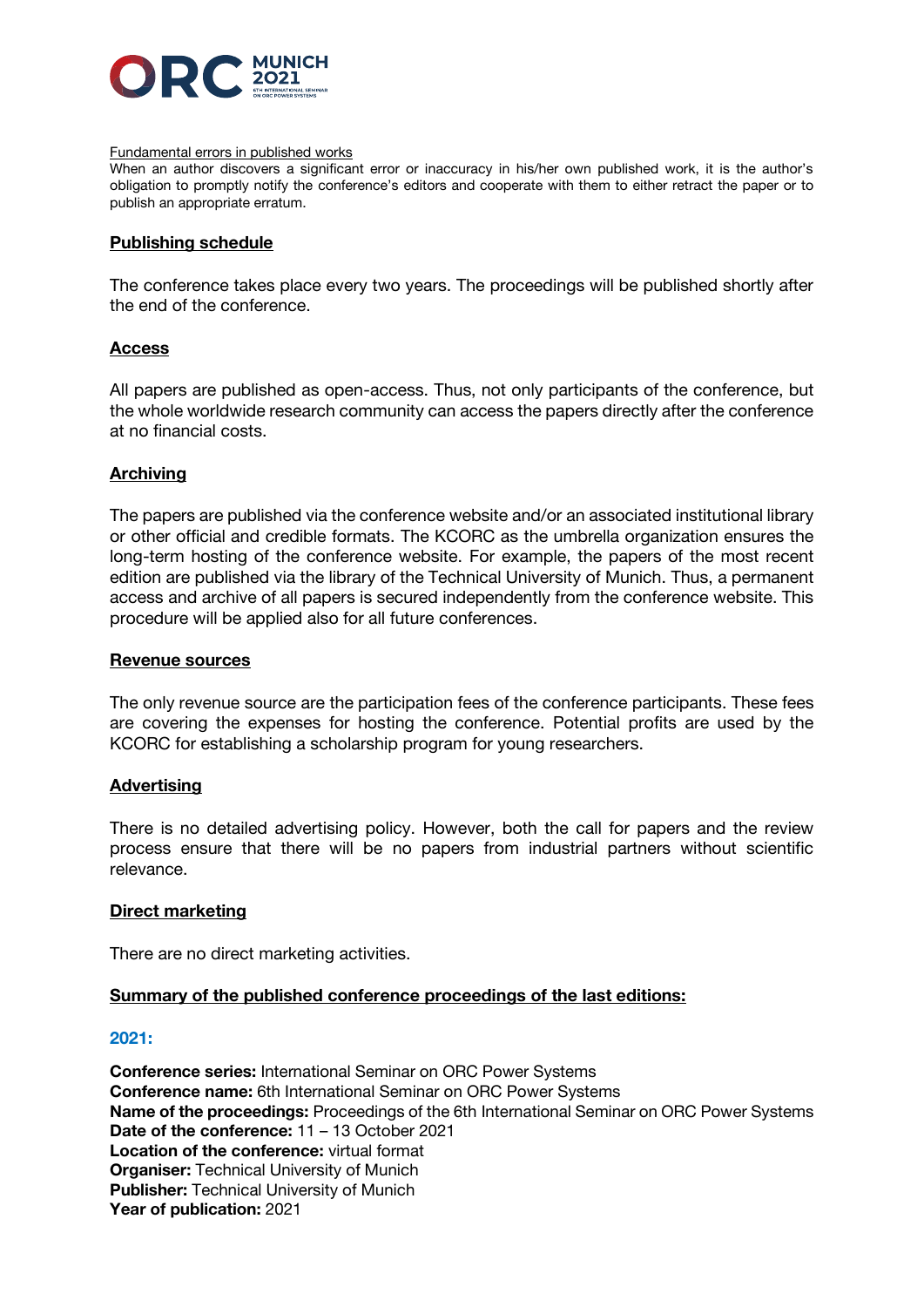

### Fundamental errors in published works

When an author discovers a significant error or inaccuracy in his/her own published work, it is the author's obligation to promptly notify the conference's editors and cooperate with them to either retract the paper or to publish an appropriate erratum.

### **Publishing schedule**

The conference takes place every two years. The proceedings will be published shortly after the end of the conference.

## **Access**

All papers are published as open-access. Thus, not only participants of the conference, but the whole worldwide research community can access the papers directly after the conference at no financial costs.

# **Archiving**

The papers are published via the conference website and/or an associated institutional library or other official and credible formats. The KCORC as the umbrella organization ensures the long-term hosting of the conference website. For example, the papers of the most recent edition are published via the library of the Technical University of Munich. Thus, a permanent access and archive of all papers is secured independently from the conference website. This procedure will be applied also for all future conferences.

### **Revenue sources**

The only revenue source are the participation fees of the conference participants. These fees are covering the expenses for hosting the conference. Potential profits are used by the KCORC for establishing a scholarship program for young researchers.

## **Advertising**

There is no detailed advertising policy. However, both the call for papers and the review process ensure that there will be no papers from industrial partners without scientific relevance.

## **Direct marketing**

There are no direct marketing activities.

## **Summary of the published conference proceedings of the last editions:**

### **2021:**

**Conference series:** International Seminar on ORC Power Systems **Conference name:** 6th International Seminar on ORC Power Systems **Name of the proceedings:** Proceedings of the 6th International Seminar on ORC Power Systems **Date of the conference:** 11 – 13 October 2021 **Location of the conference:** virtual format **Organiser:** Technical University of Munich **Publisher:** Technical University of Munich **Year of publication:** 2021